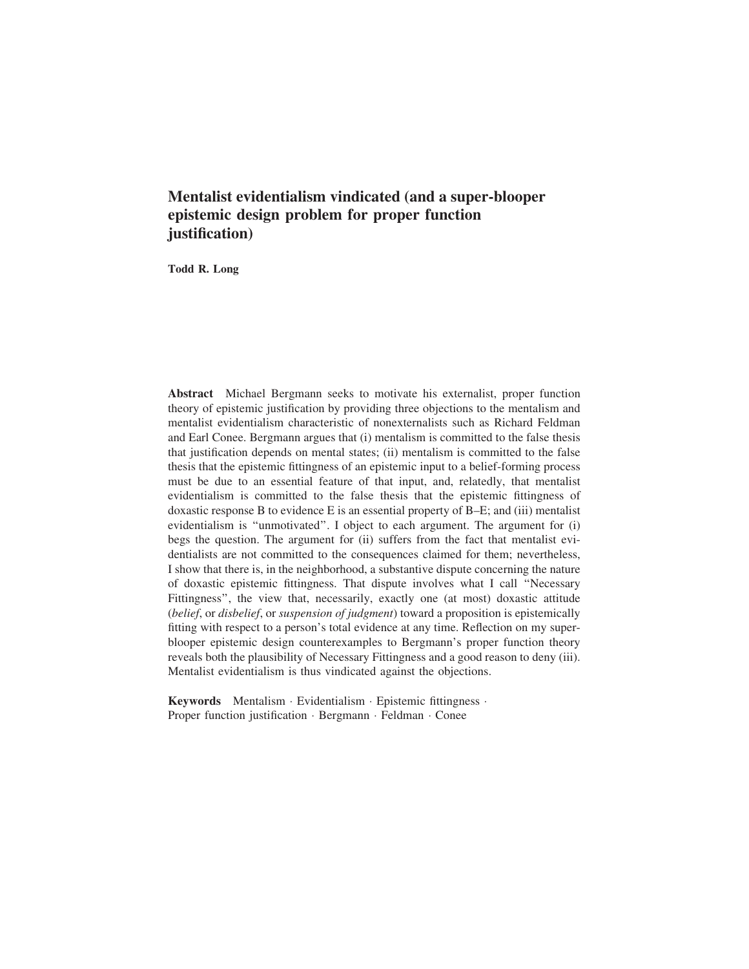# Mentalist evidentialism vindicated (and a super-blooper epistemic design problem for proper function justification)

Todd R. Long

Abstract Michael Bergmann seeks to motivate his externalist, proper function theory of epistemic justification by providing three objections to the mentalism and mentalist evidentialism characteristic of nonexternalists such as Richard Feldman and Earl Conee. Bergmann argues that (i) mentalism is committed to the false thesis that justification depends on mental states; (ii) mentalism is committed to the false thesis that the epistemic fittingness of an epistemic input to a belief-forming process must be due to an essential feature of that input, and, relatedly, that mentalist evidentialism is committed to the false thesis that the epistemic fittingness of doxastic response B to evidence E is an essential property of B–E; and (iii) mentalist evidentialism is ''unmotivated''. I object to each argument. The argument for (i) begs the question. The argument for (ii) suffers from the fact that mentalist evidentialists are not committed to the consequences claimed for them; nevertheless, I show that there is, in the neighborhood, a substantive dispute concerning the nature of doxastic epistemic fittingness. That dispute involves what I call ''Necessary Fittingness'', the view that, necessarily, exactly one (at most) doxastic attitude (belief, or disbelief, or suspension of judgment) toward a proposition is epistemically fitting with respect to a person's total evidence at any time. Reflection on my superblooper epistemic design counterexamples to Bergmann's proper function theory reveals both the plausibility of Necessary Fittingness and a good reason to deny (iii). Mentalist evidentialism is thus vindicated against the objections.

Keywords Mentalism · Evidentialism · Epistemic fittingness · Proper function justification · Bergmann · Feldman · Conee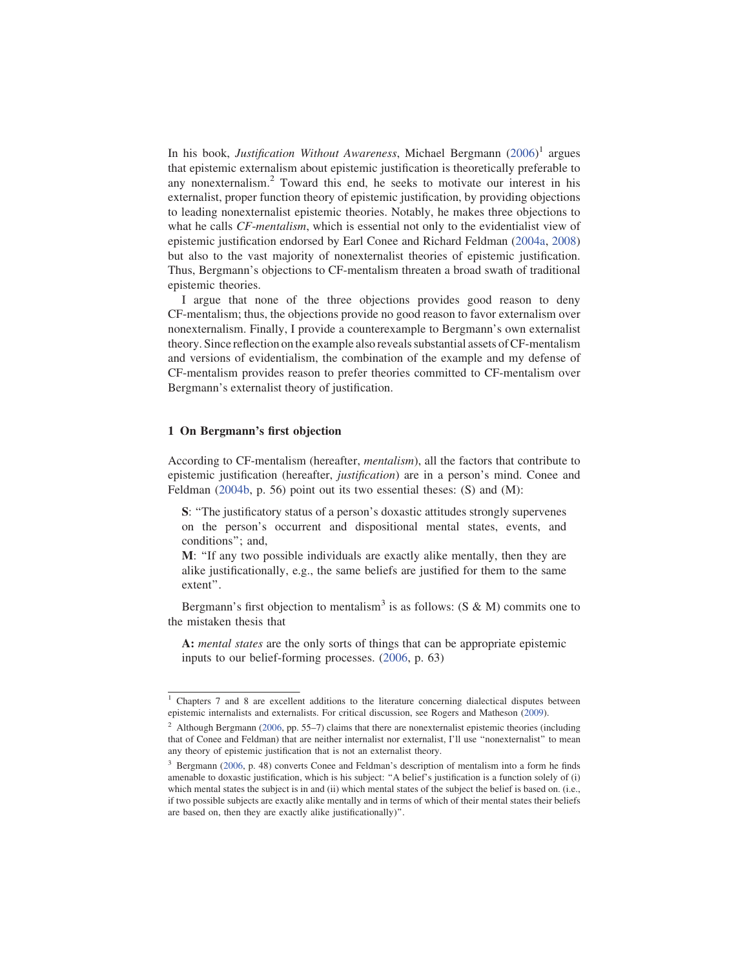In his book, Justification Without Awareness, Michael Bergmann (2006)<sup>1</sup> argues that epistemic externalism about epistemic justification is theoretically preferable to any nonexternalism.<sup>2</sup> Toward this end, he seeks to motivate our interest in his externalist, proper function theory of epistemic justification, by providing objections to leading nonexternalist epistemic theories. Notably, he makes three objections to what he calls *CF-mentalism*, which is essential not only to the evidentialist view of epistemic justification endorsed by Earl Conee and Richard Feldman (2004a, 2008) but also to the vast majority of nonexternalist theories of epistemic justification. Thus, Bergmann's objections to CF-mentalism threaten a broad swath of traditional epistemic theories.

I argue that none of the three objections provides good reason to deny CF-mentalism; thus, the objections provide no good reason to favor externalism over nonexternalism. Finally, I provide a counterexample to Bergmann's own externalist theory. Since reflection on the example also reveals substantial assets of CF-mentalism and versions of evidentialism, the combination of the example and my defense of CF-mentalism provides reason to prefer theories committed to CF-mentalism over Bergmann's externalist theory of justification.

# 1 On Bergmann's first objection

According to CF-mentalism (hereafter, mentalism), all the factors that contribute to epistemic justification (hereafter, justification) are in a person's mind. Conee and Feldman (2004b, p. 56) point out its two essential theses: (S) and (M):

S: ''The justificatory status of a person's doxastic attitudes strongly supervenes on the person's occurrent and dispositional mental states, events, and conditions''; and,

M: ''If any two possible individuals are exactly alike mentally, then they are alike justificationally, e.g., the same beliefs are justified for them to the same extent''.

Bergmann's first objection to mentalism<sup>3</sup> is as follows: (S & M) commits one to the mistaken thesis that

A: mental states are the only sorts of things that can be appropriate epistemic inputs to our belief-forming processes. (2006, p. 63)

<sup>&</sup>lt;sup>1</sup> Chapters 7 and 8 are excellent additions to the literature concerning dialectical disputes between epistemic internalists and externalists. For critical discussion, see Rogers and Matheson (2009).

<sup>&</sup>lt;sup>2</sup> Although Bergmann (2006, pp. 55–7) claims that there are nonexternalist epistemic theories (including that of Conee and Feldman) that are neither internalist nor externalist, I'll use ''nonexternalist'' to mean any theory of epistemic justification that is not an externalist theory.

<sup>&</sup>lt;sup>3</sup> Bergmann (2006, p. 48) converts Conee and Feldman's description of mentalism into a form he finds amenable to doxastic justification, which is his subject: ''A belief's justification is a function solely of (i) which mental states the subject is in and (ii) which mental states of the subject the belief is based on. (i.e., if two possible subjects are exactly alike mentally and in terms of which of their mental states their beliefs are based on, then they are exactly alike justificationally)''.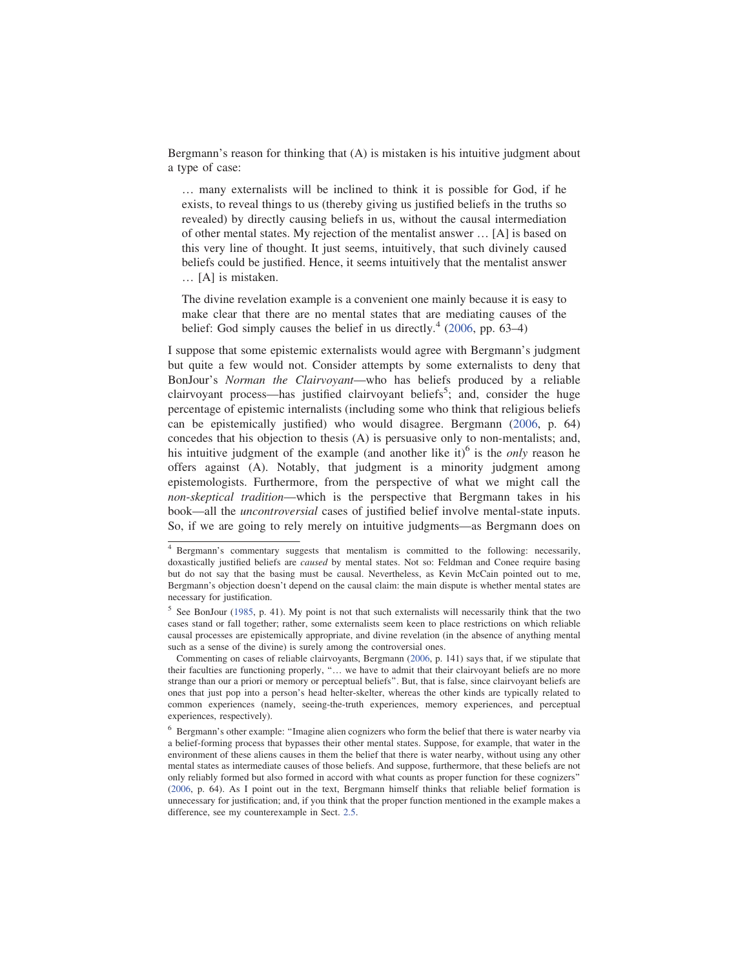Bergmann's reason for thinking that (A) is mistaken is his intuitive judgment about a type of case:

… many externalists will be inclined to think it is possible for God, if he exists, to reveal things to us (thereby giving us justified beliefs in the truths so revealed) by directly causing beliefs in us, without the causal intermediation of other mental states. My rejection of the mentalist answer … [A] is based on this very line of thought. It just seems, intuitively, that such divinely caused beliefs could be justified. Hence, it seems intuitively that the mentalist answer … [A] is mistaken.

The divine revelation example is a convenient one mainly because it is easy to make clear that there are no mental states that are mediating causes of the belief: God simply causes the belief in us directly. $4$  (2006, pp. 63–4)

I suppose that some epistemic externalists would agree with Bergmann's judgment but quite a few would not. Consider attempts by some externalists to deny that BonJour's Norman the Clairvoyant—who has beliefs produced by a reliable clairvoyant process—has justified clairvoyant beliefs<sup>5</sup>; and, consider the huge percentage of epistemic internalists (including some who think that religious beliefs can be epistemically justified) who would disagree. Bergmann (2006, p. 64) concedes that his objection to thesis (A) is persuasive only to non-mentalists; and, his intuitive judgment of the example (and another like it)<sup>6</sup> is the *only* reason he offers against (A). Notably, that judgment is a minority judgment among epistemologists. Furthermore, from the perspective of what we might call the non-skeptical tradition—which is the perspective that Bergmann takes in his book—all the uncontroversial cases of justified belief involve mental-state inputs. So, if we are going to rely merely on intuitive judgments—as Bergmann does on

<sup>4</sup> Bergmann's commentary suggests that mentalism is committed to the following: necessarily, doxastically justified beliefs are *caused* by mental states. Not so: Feldman and Conee require basing but do not say that the basing must be causal. Nevertheless, as Kevin McCain pointed out to me, Bergmann's objection doesn't depend on the causal claim: the main dispute is whether mental states are necessary for justification.

<sup>5</sup> See BonJour (1985, p. 41). My point is not that such externalists will necessarily think that the two cases stand or fall together; rather, some externalists seem keen to place restrictions on which reliable causal processes are epistemically appropriate, and divine revelation (in the absence of anything mental such as a sense of the divine) is surely among the controversial ones.

Commenting on cases of reliable clairvoyants, Bergmann (2006, p. 141) says that, if we stipulate that their faculties are functioning properly, ''… we have to admit that their clairvoyant beliefs are no more strange than our a priori or memory or perceptual beliefs''. But, that is false, since clairvoyant beliefs are ones that just pop into a person's head helter-skelter, whereas the other kinds are typically related to common experiences (namely, seeing-the-truth experiences, memory experiences, and perceptual experiences, respectively).

<sup>6</sup> Bergmann's other example: ''Imagine alien cognizers who form the belief that there is water nearby via a belief-forming process that bypasses their other mental states. Suppose, for example, that water in the environment of these aliens causes in them the belief that there is water nearby, without using any other mental states as intermediate causes of those beliefs. And suppose, furthermore, that these beliefs are not only reliably formed but also formed in accord with what counts as proper function for these cognizers'' (2006, p. 64). As I point out in the text, Bergmann himself thinks that reliable belief formation is unnecessary for justification; and, if you think that the proper function mentioned in the example makes a difference, see my counterexample in Sect. 2.5.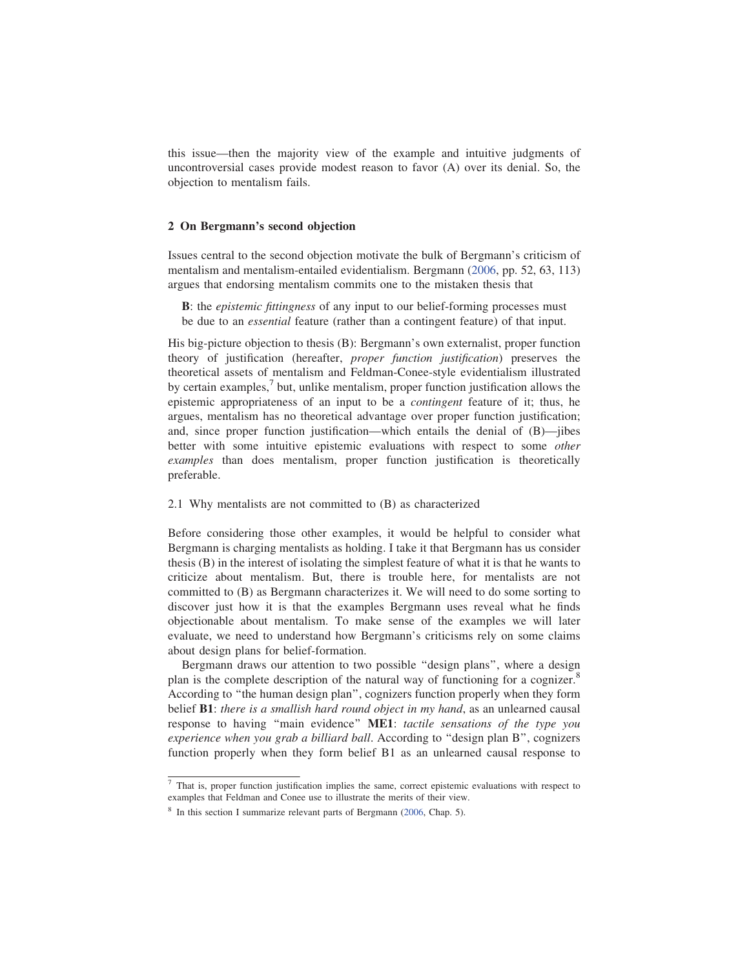this issue—then the majority view of the example and intuitive judgments of uncontroversial cases provide modest reason to favor (A) over its denial. So, the objection to mentalism fails.

# 2 On Bergmann's second objection

Issues central to the second objection motivate the bulk of Bergmann's criticism of mentalism and mentalism-entailed evidentialism. Bergmann (2006, pp. 52, 63, 113) argues that endorsing mentalism commits one to the mistaken thesis that

**B**: the *epistemic fittingness* of any input to our belief-forming processes must be due to an essential feature (rather than a contingent feature) of that input.

His big-picture objection to thesis (B): Bergmann's own externalist, proper function theory of justification (hereafter, proper function justification) preserves the theoretical assets of mentalism and Feldman-Conee-style evidentialism illustrated by certain examples, $\frac{7}{1}$  but, unlike mentalism, proper function justification allows the epistemic appropriateness of an input to be a contingent feature of it; thus, he argues, mentalism has no theoretical advantage over proper function justification; and, since proper function justification—which entails the denial of (B)—jibes better with some intuitive epistemic evaluations with respect to some other examples than does mentalism, proper function justification is theoretically preferable.

# 2.1 Why mentalists are not committed to (B) as characterized

Before considering those other examples, it would be helpful to consider what Bergmann is charging mentalists as holding. I take it that Bergmann has us consider thesis (B) in the interest of isolating the simplest feature of what it is that he wants to criticize about mentalism. But, there is trouble here, for mentalists are not committed to (B) as Bergmann characterizes it. We will need to do some sorting to discover just how it is that the examples Bergmann uses reveal what he finds objectionable about mentalism. To make sense of the examples we will later evaluate, we need to understand how Bergmann's criticisms rely on some claims about design plans for belief-formation.

Bergmann draws our attention to two possible ''design plans'', where a design plan is the complete description of the natural way of functioning for a cognizer.<sup>8</sup> According to ''the human design plan'', cognizers function properly when they form belief **B1**: there is a smallish hard round object in my hand, as an unlearned causal response to having "main evidence" ME1: tactile sensations of the type you experience when you grab a billiard ball. According to ''design plan B'', cognizers function properly when they form belief B1 as an unlearned causal response to

<sup>7</sup> That is, proper function justification implies the same, correct epistemic evaluations with respect to examples that Feldman and Conee use to illustrate the merits of their view.

<sup>8</sup> In this section I summarize relevant parts of Bergmann (2006, Chap. 5).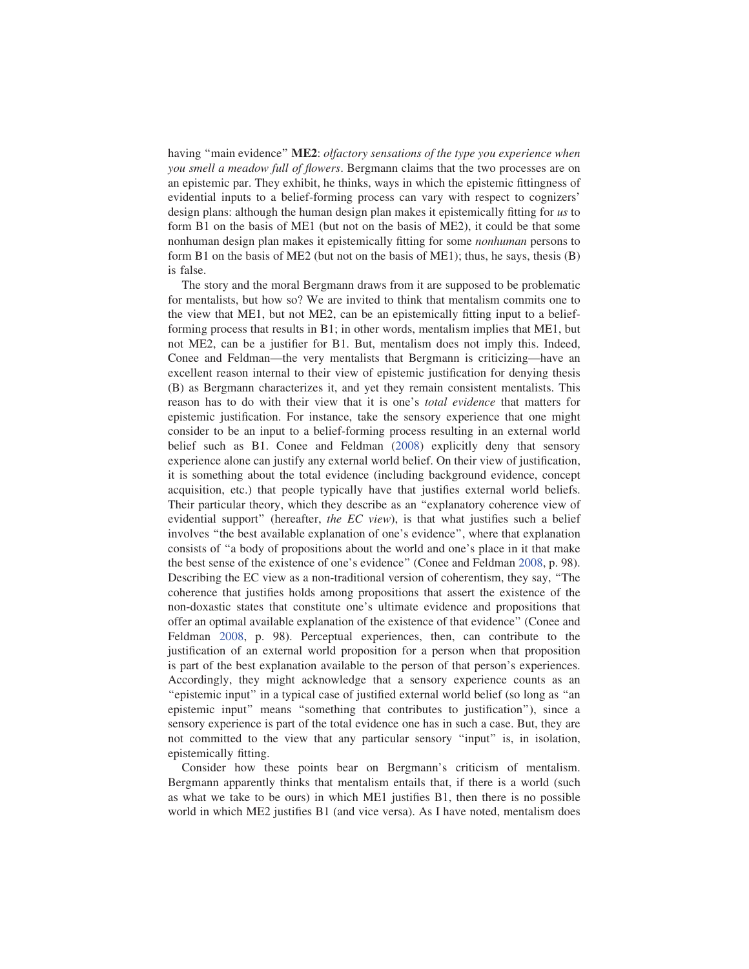having "main evidence" ME2: olfactory sensations of the type you experience when you smell a meadow full of flowers. Bergmann claims that the two processes are on an epistemic par. They exhibit, he thinks, ways in which the epistemic fittingness of evidential inputs to a belief-forming process can vary with respect to cognizers' design plans: although the human design plan makes it epistemically fitting for us to form B1 on the basis of ME1 (but not on the basis of ME2), it could be that some nonhuman design plan makes it epistemically fitting for some nonhuman persons to form B1 on the basis of ME2 (but not on the basis of ME1); thus, he says, thesis (B) is false.

The story and the moral Bergmann draws from it are supposed to be problematic for mentalists, but how so? We are invited to think that mentalism commits one to the view that ME1, but not ME2, can be an epistemically fitting input to a beliefforming process that results in B1; in other words, mentalism implies that ME1, but not ME2, can be a justifier for B1. But, mentalism does not imply this. Indeed, Conee and Feldman—the very mentalists that Bergmann is criticizing—have an excellent reason internal to their view of epistemic justification for denying thesis (B) as Bergmann characterizes it, and yet they remain consistent mentalists. This reason has to do with their view that it is one's total evidence that matters for epistemic justification. For instance, take the sensory experience that one might consider to be an input to a belief-forming process resulting in an external world belief such as B1. Conee and Feldman (2008) explicitly deny that sensory experience alone can justify any external world belief. On their view of justification, it is something about the total evidence (including background evidence, concept acquisition, etc.) that people typically have that justifies external world beliefs. Their particular theory, which they describe as an ''explanatory coherence view of evidential support" (hereafter, the EC view), is that what justifies such a belief involves ''the best available explanation of one's evidence'', where that explanation consists of ''a body of propositions about the world and one's place in it that make the best sense of the existence of one's evidence'' (Conee and Feldman 2008, p. 98). Describing the EC view as a non-traditional version of coherentism, they say, ''The coherence that justifies holds among propositions that assert the existence of the non-doxastic states that constitute one's ultimate evidence and propositions that offer an optimal available explanation of the existence of that evidence'' (Conee and Feldman 2008, p. 98). Perceptual experiences, then, can contribute to the justification of an external world proposition for a person when that proposition is part of the best explanation available to the person of that person's experiences. Accordingly, they might acknowledge that a sensory experience counts as an ''epistemic input'' in a typical case of justified external world belief (so long as ''an epistemic input'' means ''something that contributes to justification''), since a sensory experience is part of the total evidence one has in such a case. But, they are not committed to the view that any particular sensory ''input'' is, in isolation, epistemically fitting.

Consider how these points bear on Bergmann's criticism of mentalism. Bergmann apparently thinks that mentalism entails that, if there is a world (such as what we take to be ours) in which ME1 justifies B1, then there is no possible world in which ME2 justifies B1 (and vice versa). As I have noted, mentalism does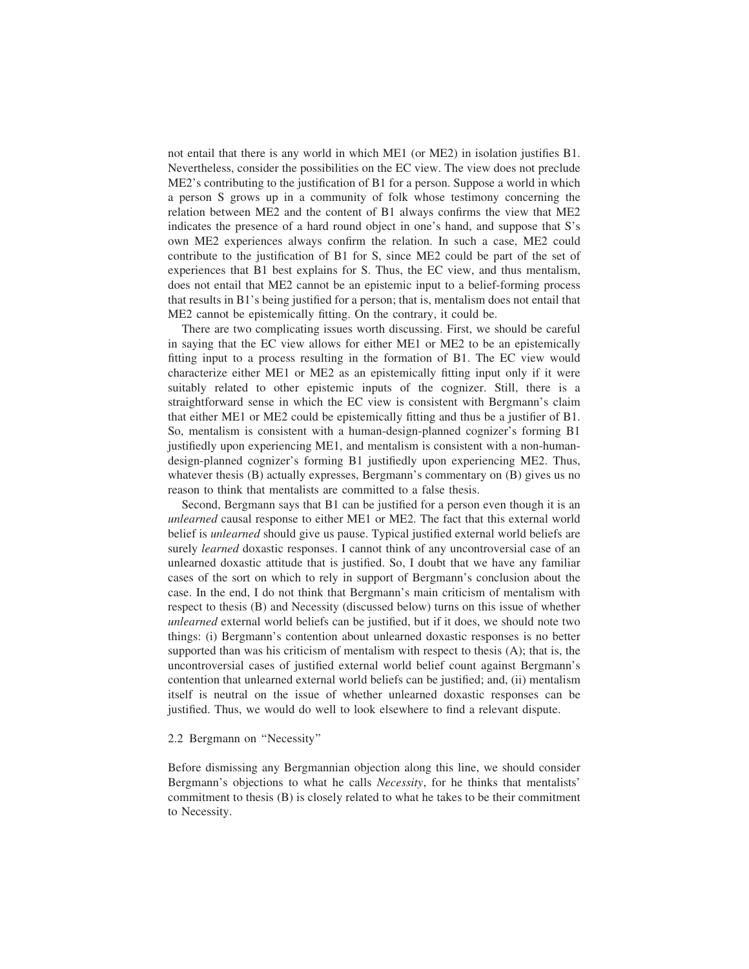not entail that there is any world in which ME1 (or ME2) in isolation justifies B1. Nevertheless, consider the possibilities on the EC view. The view does not preclude ME2's contributing to the justification of B1 for a person. Suppose a world in which a person S grows up in a community of folk whose testimony concerning the relation between ME2 and the content of B1 always confirms the view that ME2 indicates the presence of a hard round object in one's hand, and suppose that S's own ME2 experiences always confirm the relation. In such a case, ME2 could contribute to the justification of B1 for S, since ME2 could be part of the set of experiences that B1 best explains for S. Thus, the EC view, and thus mentalism, does not entail that ME2 cannot be an epistemic input to a belief-forming process that results in B1's being justified for a person; that is, mentalism does not entail that ME2 cannot be epistemically fitting. On the contrary, it could be.

There are two complicating issues worth discussing. First, we should be careful in saying that the EC view allows for either ME1 or ME2 to be an epistemically fitting input to a process resulting in the formation of B1. The EC view would characterize either ME1 or ME2 as an epistemically fitting input only if it were suitably related to other epistemic inputs of the cognizer. Still, there is a straightforward sense in which the EC view is consistent with Bergmann's claim that either ME1 or ME2 could be epistemically fitting and thus be a justifier of B1. So, mentalism is consistent with a human-design-planned cognizer's forming B1 justifiedly upon experiencing ME1, and mentalism is consistent with a non-humandesign-planned cognizer's forming B1 justifiedly upon experiencing ME2. Thus, whatever thesis (B) actually expresses, Bergmann's commentary on (B) gives us no reason to think that mentalists are committed to a false thesis.

Second, Bergmann says that B1 can be justified for a person even though it is an unlearned causal response to either ME1 or ME2. The fact that this external world belief is unlearned should give us pause. Typical justified external world beliefs are surely *learned* doxastic responses. I cannot think of any uncontroversial case of an unlearned doxastic attitude that is justified. So, I doubt that we have any familiar cases of the sort on which to rely in support of Bergmann's conclusion about the case. In the end, I do not think that Bergmann's main criticism of mentalism with respect to thesis (B) and Necessity (discussed below) turns on this issue of whether unlearned external world beliefs can be justified, but if it does, we should note two things: (i) Bergmann's contention about unlearned doxastic responses is no better supported than was his criticism of mentalism with respect to thesis (A); that is, the uncontroversial cases of justified external world belief count against Bergmann's contention that unlearned external world beliefs can be justified; and, (ii) mentalism itself is neutral on the issue of whether unlearned doxastic responses can be justified. Thus, we would do well to look elsewhere to find a relevant dispute.

### 2.2 Bergmann on ''Necessity''

Before dismissing any Bergmannian objection along this line, we should consider Bergmann's objections to what he calls Necessity, for he thinks that mentalists' commitment to thesis (B) is closely related to what he takes to be their commitment to Necessity.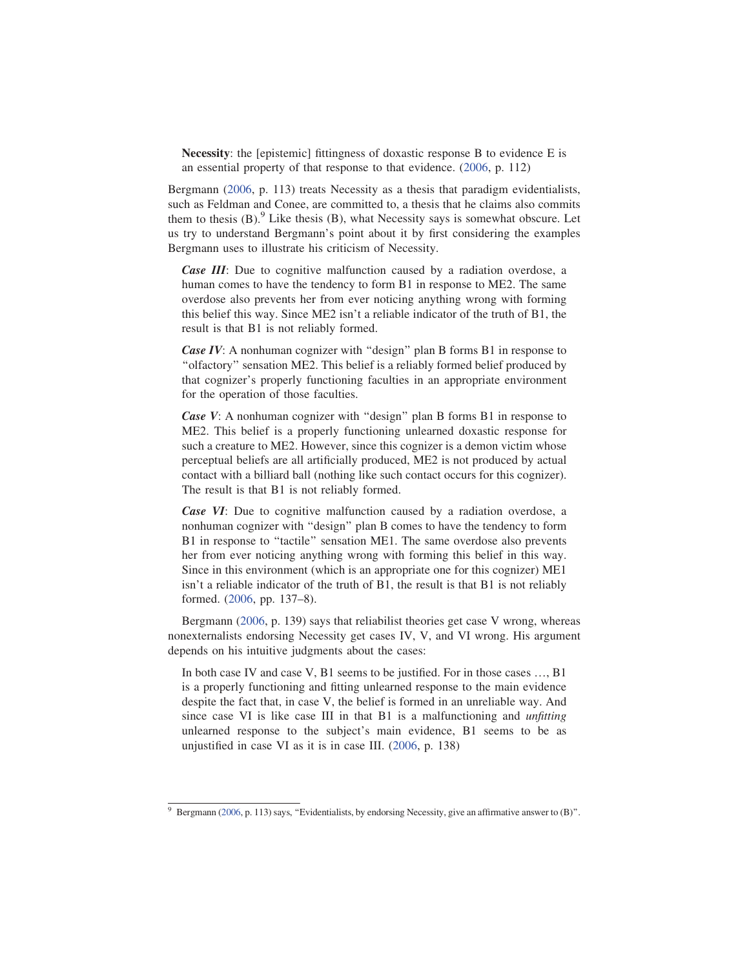Necessity: the [epistemic] fittingness of doxastic response B to evidence E is an essential property of that response to that evidence. (2006, p. 112)

Bergmann (2006, p. 113) treats Necessity as a thesis that paradigm evidentialists, such as Feldman and Conee, are committed to, a thesis that he claims also commits them to thesis  $(B)$ . Like thesis  $(B)$ , what Necessity says is somewhat obscure. Let us try to understand Bergmann's point about it by first considering the examples Bergmann uses to illustrate his criticism of Necessity.

Case III: Due to cognitive malfunction caused by a radiation overdose, a human comes to have the tendency to form B1 in response to ME2. The same overdose also prevents her from ever noticing anything wrong with forming this belief this way. Since ME2 isn't a reliable indicator of the truth of B1, the result is that B1 is not reliably formed.

Case IV: A nonhuman cognizer with "design" plan B forms B1 in response to ''olfactory'' sensation ME2. This belief is a reliably formed belief produced by that cognizer's properly functioning faculties in an appropriate environment for the operation of those faculties.

Case V: A nonhuman cognizer with "design" plan B forms B1 in response to ME2. This belief is a properly functioning unlearned doxastic response for such a creature to ME2. However, since this cognizer is a demon victim whose perceptual beliefs are all artificially produced, ME2 is not produced by actual contact with a billiard ball (nothing like such contact occurs for this cognizer). The result is that B1 is not reliably formed.

Case VI: Due to cognitive malfunction caused by a radiation overdose, a nonhuman cognizer with ''design'' plan B comes to have the tendency to form B1 in response to ''tactile'' sensation ME1. The same overdose also prevents her from ever noticing anything wrong with forming this belief in this way. Since in this environment (which is an appropriate one for this cognizer) ME1 isn't a reliable indicator of the truth of B1, the result is that B1 is not reliably formed. (2006, pp. 137–8).

Bergmann (2006, p. 139) says that reliabilist theories get case V wrong, whereas nonexternalists endorsing Necessity get cases IV, V, and VI wrong. His argument depends on his intuitive judgments about the cases:

In both case IV and case V, B1 seems to be justified. For in those cases …, B1 is a properly functioning and fitting unlearned response to the main evidence despite the fact that, in case V, the belief is formed in an unreliable way. And since case VI is like case III in that B1 is a malfunctioning and unfitting unlearned response to the subject's main evidence, B1 seems to be as unjustified in case VI as it is in case III. (2006, p. 138)

 $9$  Bergmann (2006, p. 113) says, "Evidentialists, by endorsing Necessity, give an affirmative answer to (B)".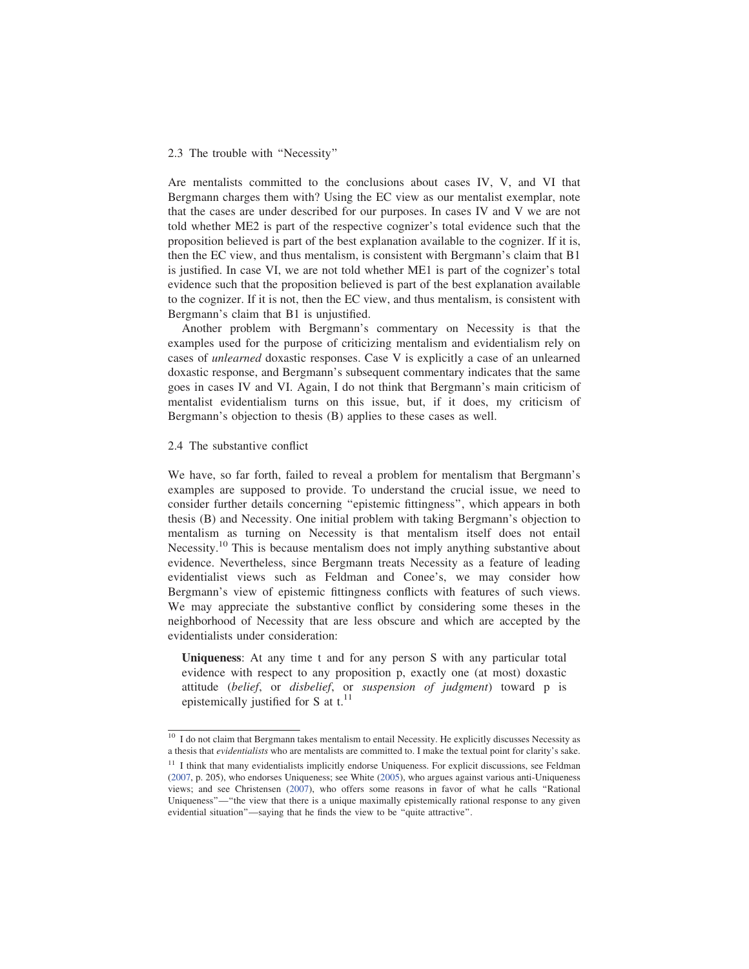## 2.3 The trouble with ''Necessity''

Are mentalists committed to the conclusions about cases IV, V, and VI that Bergmann charges them with? Using the EC view as our mentalist exemplar, note that the cases are under described for our purposes. In cases IV and V we are not told whether ME2 is part of the respective cognizer's total evidence such that the proposition believed is part of the best explanation available to the cognizer. If it is, then the EC view, and thus mentalism, is consistent with Bergmann's claim that B1 is justified. In case VI, we are not told whether ME1 is part of the cognizer's total evidence such that the proposition believed is part of the best explanation available to the cognizer. If it is not, then the EC view, and thus mentalism, is consistent with Bergmann's claim that B1 is unjustified.

Another problem with Bergmann's commentary on Necessity is that the examples used for the purpose of criticizing mentalism and evidentialism rely on cases of unlearned doxastic responses. Case V is explicitly a case of an unlearned doxastic response, and Bergmann's subsequent commentary indicates that the same goes in cases IV and VI. Again, I do not think that Bergmann's main criticism of mentalist evidentialism turns on this issue, but, if it does, my criticism of Bergmann's objection to thesis (B) applies to these cases as well.

#### 2.4 The substantive conflict

We have, so far forth, failed to reveal a problem for mentalism that Bergmann's examples are supposed to provide. To understand the crucial issue, we need to consider further details concerning ''epistemic fittingness'', which appears in both thesis (B) and Necessity. One initial problem with taking Bergmann's objection to mentalism as turning on Necessity is that mentalism itself does not entail Necessity.<sup>10</sup> This is because mentalism does not imply anything substantive about evidence. Nevertheless, since Bergmann treats Necessity as a feature of leading evidentialist views such as Feldman and Conee's, we may consider how Bergmann's view of epistemic fittingness conflicts with features of such views. We may appreciate the substantive conflict by considering some theses in the neighborhood of Necessity that are less obscure and which are accepted by the evidentialists under consideration:

Uniqueness: At any time t and for any person S with any particular total evidence with respect to any proposition p, exactly one (at most) doxastic attitude (belief, or disbelief, or suspension of judgment) toward p is epistemically justified for S at  $t$ .<sup>11</sup>

<sup>&</sup>lt;sup>10</sup> I do not claim that Bergmann takes mentalism to entail Necessity. He explicitly discusses Necessity as a thesis that evidentialists who are mentalists are committed to. I make the textual point for clarity's sake.

 $11$  I think that many evidentialists implicitly endorse Uniqueness. For explicit discussions, see Feldman (2007, p. 205), who endorses Uniqueness; see White (2005), who argues against various anti-Uniqueness views; and see Christensen (2007), who offers some reasons in favor of what he calls ''Rational Uniqueness''—''the view that there is a unique maximally epistemically rational response to any given evidential situation''—saying that he finds the view to be ''quite attractive''.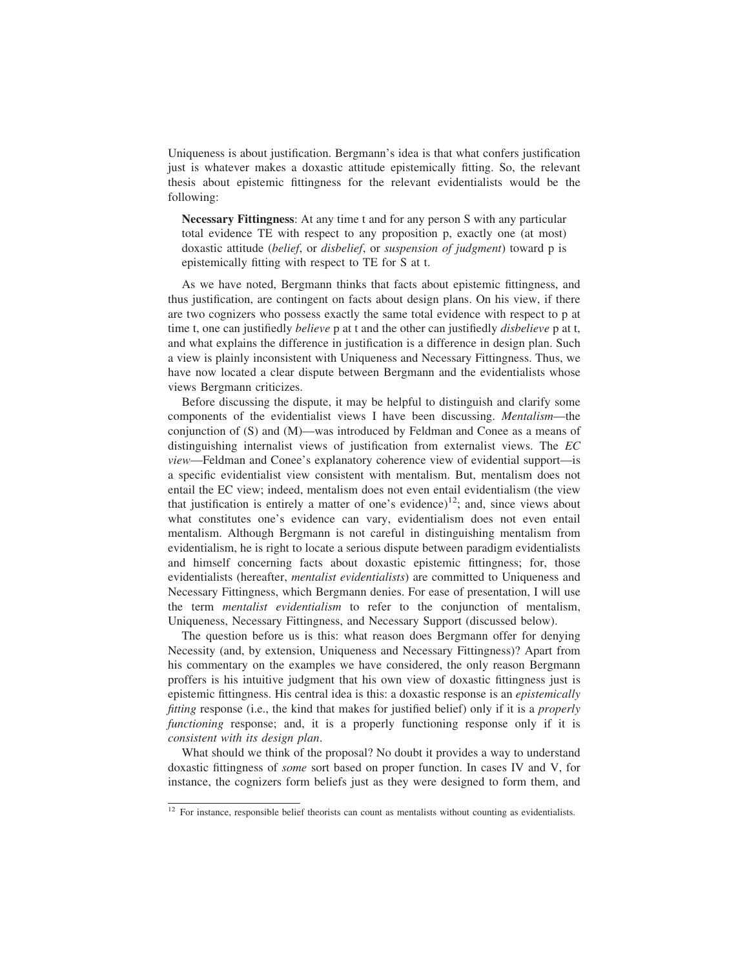Uniqueness is about justification. Bergmann's idea is that what confers justification just is whatever makes a doxastic attitude epistemically fitting. So, the relevant thesis about epistemic fittingness for the relevant evidentialists would be the following:

Necessary Fittingness: At any time t and for any person S with any particular total evidence TE with respect to any proposition p, exactly one (at most) doxastic attitude (belief, or disbelief, or suspension of judgment) toward p is epistemically fitting with respect to TE for S at t.

As we have noted, Bergmann thinks that facts about epistemic fittingness, and thus justification, are contingent on facts about design plans. On his view, if there are two cognizers who possess exactly the same total evidence with respect to p at time t, one can justifiedly *believe* p at t and the other can justifiedly *disbelieve* p at t, and what explains the difference in justification is a difference in design plan. Such a view is plainly inconsistent with Uniqueness and Necessary Fittingness. Thus, we have now located a clear dispute between Bergmann and the evidentialists whose views Bergmann criticizes.

Before discussing the dispute, it may be helpful to distinguish and clarify some components of the evidentialist views I have been discussing. Mentalism—the conjunction of (S) and (M)—was introduced by Feldman and Conee as a means of distinguishing internalist views of justification from externalist views. The EC view—Feldman and Conee's explanatory coherence view of evidential support—is a specific evidentialist view consistent with mentalism. But, mentalism does not entail the EC view; indeed, mentalism does not even entail evidentialism (the view that justification is entirely a matter of one's evidence) $^{12}$ ; and, since views about what constitutes one's evidence can vary, evidentialism does not even entail mentalism. Although Bergmann is not careful in distinguishing mentalism from evidentialism, he is right to locate a serious dispute between paradigm evidentialists and himself concerning facts about doxastic epistemic fittingness; for, those evidentialists (hereafter, *mentalist evidentialists*) are committed to Uniqueness and Necessary Fittingness, which Bergmann denies. For ease of presentation, I will use the term mentalist evidentialism to refer to the conjunction of mentalism, Uniqueness, Necessary Fittingness, and Necessary Support (discussed below).

The question before us is this: what reason does Bergmann offer for denying Necessity (and, by extension, Uniqueness and Necessary Fittingness)? Apart from his commentary on the examples we have considered, the only reason Bergmann proffers is his intuitive judgment that his own view of doxastic fittingness just is epistemic fittingness. His central idea is this: a doxastic response is an epistemically fitting response (i.e., the kind that makes for justified belief) only if it is a *properly* functioning response; and, it is a properly functioning response only if it is consistent with its design plan.

What should we think of the proposal? No doubt it provides a way to understand doxastic fittingness of some sort based on proper function. In cases IV and V, for instance, the cognizers form beliefs just as they were designed to form them, and

<sup>&</sup>lt;sup>12</sup> For instance, responsible belief theorists can count as mentalists without counting as evidentialists.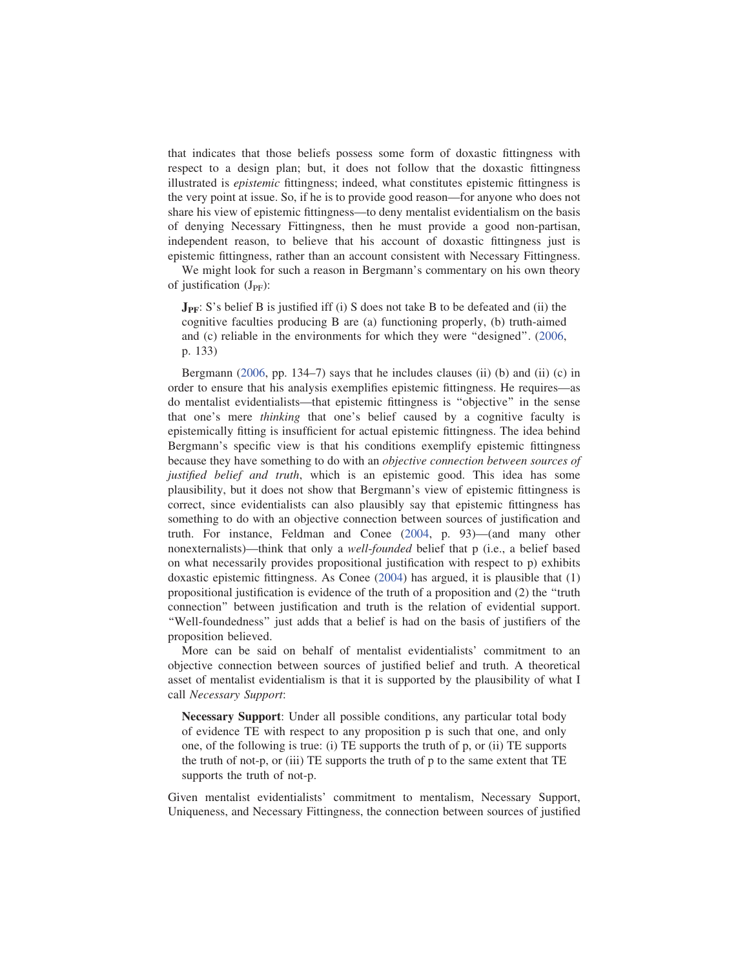that indicates that those beliefs possess some form of doxastic fittingness with respect to a design plan; but, it does not follow that the doxastic fittingness illustrated is epistemic fittingness; indeed, what constitutes epistemic fittingness is the very point at issue. So, if he is to provide good reason—for anyone who does not share his view of epistemic fittingness—to deny mentalist evidentialism on the basis of denying Necessary Fittingness, then he must provide a good non-partisan, independent reason, to believe that his account of doxastic fittingness just is epistemic fittingness, rather than an account consistent with Necessary Fittingness.

We might look for such a reason in Bergmann's commentary on his own theory of justification  $(J_{\text{PF}})$ :

 $J_{PF}$ : S's belief B is justified iff (i) S does not take B to be defeated and (ii) the cognitive faculties producing B are (a) functioning properly, (b) truth-aimed and (c) reliable in the environments for which they were ''designed''. (2006, p. 133)

Bergmann (2006, pp. 134–7) says that he includes clauses (ii) (b) and (ii) (c) in order to ensure that his analysis exemplifies epistemic fittingness. He requires—as do mentalist evidentialists—that epistemic fittingness is ''objective'' in the sense that one's mere thinking that one's belief caused by a cognitive faculty is epistemically fitting is insufficient for actual epistemic fittingness. The idea behind Bergmann's specific view is that his conditions exemplify epistemic fittingness because they have something to do with an objective connection between sources of justified belief and truth, which is an epistemic good. This idea has some plausibility, but it does not show that Bergmann's view of epistemic fittingness is correct, since evidentialists can also plausibly say that epistemic fittingness has something to do with an objective connection between sources of justification and truth. For instance, Feldman and Conee (2004, p. 93)—(and many other nonexternalists)—think that only a well-founded belief that p (i.e., a belief based on what necessarily provides propositional justification with respect to p) exhibits doxastic epistemic fittingness. As Conee (2004) has argued, it is plausible that (1) propositional justification is evidence of the truth of a proposition and (2) the ''truth connection'' between justification and truth is the relation of evidential support. ''Well-foundedness'' just adds that a belief is had on the basis of justifiers of the proposition believed.

More can be said on behalf of mentalist evidentialists' commitment to an objective connection between sources of justified belief and truth. A theoretical asset of mentalist evidentialism is that it is supported by the plausibility of what I call Necessary Support:

Necessary Support: Under all possible conditions, any particular total body of evidence TE with respect to any proposition p is such that one, and only one, of the following is true: (i) TE supports the truth of p, or (ii) TE supports the truth of not-p, or (iii) TE supports the truth of p to the same extent that TE supports the truth of not-p.

Given mentalist evidentialists' commitment to mentalism, Necessary Support, Uniqueness, and Necessary Fittingness, the connection between sources of justified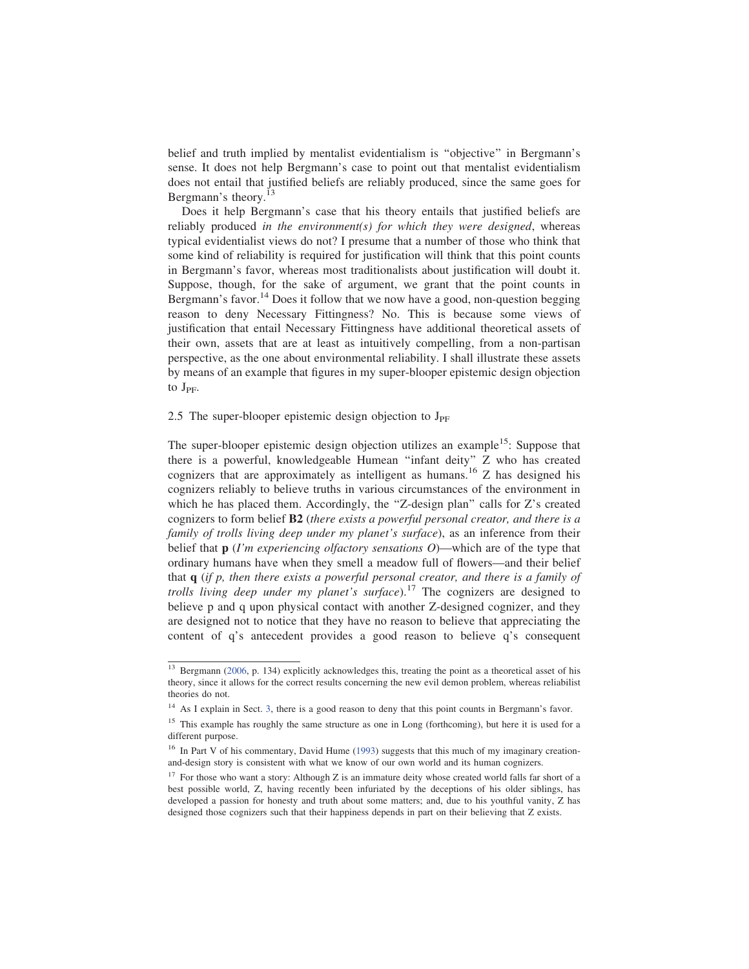belief and truth implied by mentalist evidentialism is ''objective'' in Bergmann's sense. It does not help Bergmann's case to point out that mentalist evidentialism does not entail that justified beliefs are reliably produced, since the same goes for Bergmann's theory.<sup>13</sup>

Does it help Bergmann's case that his theory entails that justified beliefs are reliably produced in the environment(s) for which they were designed, whereas typical evidentialist views do not? I presume that a number of those who think that some kind of reliability is required for justification will think that this point counts in Bergmann's favor, whereas most traditionalists about justification will doubt it. Suppose, though, for the sake of argument, we grant that the point counts in Bergmann's favor.<sup>14</sup> Does it follow that we now have a good, non-question begging reason to deny Necessary Fittingness? No. This is because some views of justification that entail Necessary Fittingness have additional theoretical assets of their own, assets that are at least as intuitively compelling, from a non-partisan perspective, as the one about environmental reliability. I shall illustrate these assets by means of an example that figures in my super-blooper epistemic design objection to  $J_{\rm PF}$ .

# 2.5 The super-blooper epistemic design objection to  $J_{PF}$

The super-blooper epistemic design objection utilizes an example<sup>15</sup>: Suppose that there is a powerful, knowledgeable Humean ''infant deity'' Z who has created cognizers that are approximately as intelligent as humans.<sup>16</sup> Z has designed his cognizers reliably to believe truths in various circumstances of the environment in which he has placed them. Accordingly, the "Z-design plan" calls for Z's created cognizers to form belief B2 (there exists a powerful personal creator, and there is a family of trolls living deep under my planet's surface), as an inference from their belief that **p** (I'm experiencing olfactory sensations O)—which are of the type that ordinary humans have when they smell a meadow full of flowers—and their belief that  $q$  (if p, then there exists a powerful personal creator, and there is a family of trolls living deep under my planet's surface).<sup>17</sup> The cognizers are designed to believe p and q upon physical contact with another Z-designed cognizer, and they are designed not to notice that they have no reason to believe that appreciating the content of q's antecedent provides a good reason to believe q's consequent

<sup>&</sup>lt;sup>13</sup> Bergmann (2006, p. 134) explicitly acknowledges this, treating the point as a theoretical asset of his theory, since it allows for the correct results concerning the new evil demon problem, whereas reliabilist theories do not.

<sup>&</sup>lt;sup>14</sup> As I explain in Sect. 3, there is a good reason to deny that this point counts in Bergmann's favor.

<sup>&</sup>lt;sup>15</sup> This example has roughly the same structure as one in Long (forthcoming), but here it is used for a different purpose.

<sup>&</sup>lt;sup>16</sup> In Part V of his commentary, David Hume (1993) suggests that this much of my imaginary creationand-design story is consistent with what we know of our own world and its human cognizers.

<sup>&</sup>lt;sup>17</sup> For those who want a story: Although Z is an immature deity whose created world falls far short of a best possible world, Z, having recently been infuriated by the deceptions of his older siblings, has developed a passion for honesty and truth about some matters; and, due to his youthful vanity, Z has designed those cognizers such that their happiness depends in part on their believing that Z exists.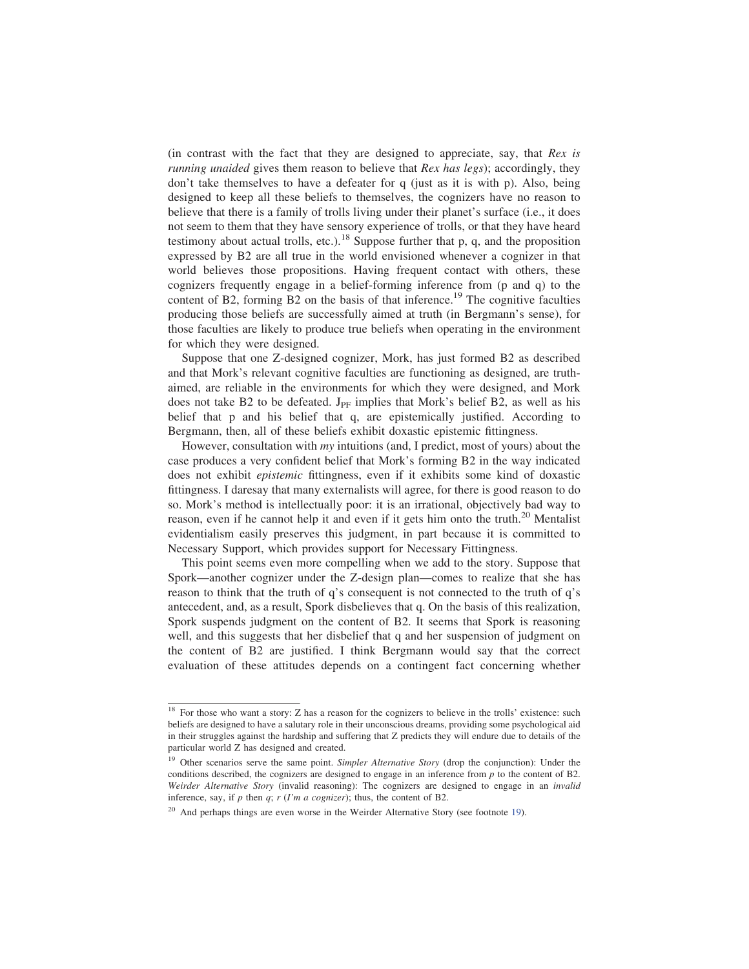(in contrast with the fact that they are designed to appreciate, say, that Rex is *running unaided* gives them reason to believe that  $Rex$  has legs); accordingly, they don't take themselves to have a defeater for q (just as it is with p). Also, being designed to keep all these beliefs to themselves, the cognizers have no reason to believe that there is a family of trolls living under their planet's surface (i.e., it does not seem to them that they have sensory experience of trolls, or that they have heard testimony about actual trolls, etc.).<sup>18</sup> Suppose further that p, q, and the proposition expressed by B2 are all true in the world envisioned whenever a cognizer in that world believes those propositions. Having frequent contact with others, these cognizers frequently engage in a belief-forming inference from (p and q) to the content of B2, forming  $B2$  on the basis of that inference.<sup>19</sup> The cognitive faculties producing those beliefs are successfully aimed at truth (in Bergmann's sense), for those faculties are likely to produce true beliefs when operating in the environment for which they were designed.

Suppose that one Z-designed cognizer, Mork, has just formed B2 as described and that Mork's relevant cognitive faculties are functioning as designed, are truthaimed, are reliable in the environments for which they were designed, and Mork does not take B2 to be defeated.  $J_{PF}$  implies that Mork's belief B2, as well as his belief that p and his belief that q, are epistemically justified. According to Bergmann, then, all of these beliefs exhibit doxastic epistemic fittingness.

However, consultation with  $my$  intuitions (and, I predict, most of yours) about the case produces a very confident belief that Mork's forming B2 in the way indicated does not exhibit epistemic fittingness, even if it exhibits some kind of doxastic fittingness. I daresay that many externalists will agree, for there is good reason to do so. Mork's method is intellectually poor: it is an irrational, objectively bad way to reason, even if he cannot help it and even if it gets him onto the truth.<sup>20</sup> Mentalist evidentialism easily preserves this judgment, in part because it is committed to Necessary Support, which provides support for Necessary Fittingness.

This point seems even more compelling when we add to the story. Suppose that Spork—another cognizer under the Z-design plan—comes to realize that she has reason to think that the truth of q's consequent is not connected to the truth of q's antecedent, and, as a result, Spork disbelieves that q. On the basis of this realization, Spork suspends judgment on the content of B2. It seems that Spork is reasoning well, and this suggests that her disbelief that q and her suspension of judgment on the content of B2 are justified. I think Bergmann would say that the correct evaluation of these attitudes depends on a contingent fact concerning whether

<sup>&</sup>lt;sup>18</sup> For those who want a story: Z has a reason for the cognizers to believe in the trolls' existence: such beliefs are designed to have a salutary role in their unconscious dreams, providing some psychological aid in their struggles against the hardship and suffering that Z predicts they will endure due to details of the particular world Z has designed and created.

<sup>&</sup>lt;sup>19</sup> Other scenarios serve the same point. Simpler Alternative Story (drop the conjunction): Under the conditions described, the cognizers are designed to engage in an inference from  $p$  to the content of B2. Weirder Alternative Story (invalid reasoning): The cognizers are designed to engage in an *invalid* inference, say, if p then  $q$ ; r (I'm a cognizer); thus, the content of B2.

<sup>&</sup>lt;sup>20</sup> And perhaps things are even worse in the Weirder Alternative Story (see footnote 19).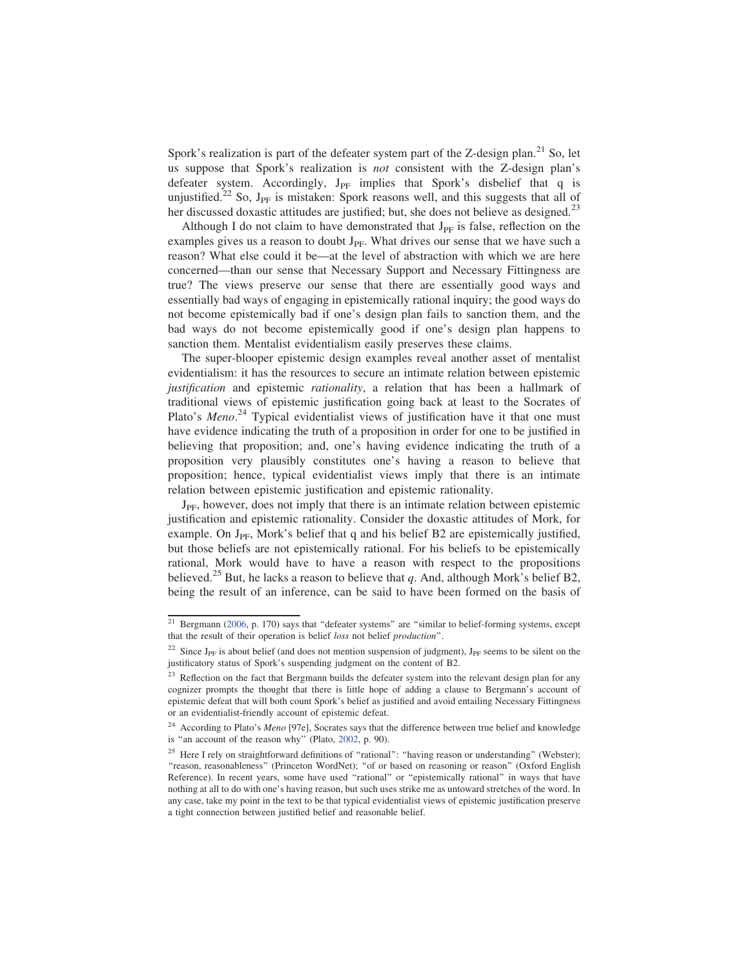Spork's realization is part of the defeater system part of the Z-design plan.<sup>21</sup> So, let us suppose that Spork's realization is not consistent with the Z-design plan's defeater system. Accordingly,  $J_{PF}$  implies that Spork's disbelief that q is unjustified.<sup>22</sup> So,  $J_{PF}$  is mistaken: Spork reasons well, and this suggests that all of her discussed doxastic attitudes are justified; but, she does not believe as designed.<sup>23</sup>

Although I do not claim to have demonstrated that  $J_{PF}$  is false, reflection on the examples gives us a reason to doubt  $J_{PF}$ . What drives our sense that we have such a reason? What else could it be—at the level of abstraction with which we are here concerned—than our sense that Necessary Support and Necessary Fittingness are true? The views preserve our sense that there are essentially good ways and essentially bad ways of engaging in epistemically rational inquiry; the good ways do not become epistemically bad if one's design plan fails to sanction them, and the bad ways do not become epistemically good if one's design plan happens to sanction them. Mentalist evidentialism easily preserves these claims.

The super-blooper epistemic design examples reveal another asset of mentalist evidentialism: it has the resources to secure an intimate relation between epistemic justification and epistemic *rationality*, a relation that has been a hallmark of traditional views of epistemic justification going back at least to the Socrates of Plato's Meno.<sup>24</sup> Typical evidentialist views of justification have it that one must have evidence indicating the truth of a proposition in order for one to be justified in believing that proposition; and, one's having evidence indicating the truth of a proposition very plausibly constitutes one's having a reason to believe that proposition; hence, typical evidentialist views imply that there is an intimate relation between epistemic justification and epistemic rationality.

J<sub>PF</sub>, however, does not imply that there is an intimate relation between epistemic justification and epistemic rationality. Consider the doxastic attitudes of Mork, for example. On J<sub>PF</sub>, Mork's belief that q and his belief B2 are epistemically justified, but those beliefs are not epistemically rational. For his beliefs to be epistemically rational, Mork would have to have a reason with respect to the propositions believed.<sup>25</sup> But, he lacks a reason to believe that q. And, although Mork's belief B2, being the result of an inference, can be said to have been formed on the basis of

 $21$  Bergmann (2006, p. 170) says that "defeater systems" are "similar to belief-forming systems, except that the result of their operation is belief loss not belief production''.

<sup>&</sup>lt;sup>22</sup> Since J<sub>PF</sub> is about belief (and does not mention suspension of judgment), J<sub>PF</sub> seems to be silent on the justificatory status of Spork's suspending judgment on the content of B2.

<sup>&</sup>lt;sup>23</sup> Reflection on the fact that Bergmann builds the defeater system into the relevant design plan for any cognizer prompts the thought that there is little hope of adding a clause to Bergmann's account of epistemic defeat that will both count Spork's belief as justified and avoid entailing Necessary Fittingness or an evidentialist-friendly account of epistemic defeat.

<sup>&</sup>lt;sup>24</sup> According to Plato's Meno [97e], Socrates says that the difference between true belief and knowledge is "an account of the reason why" (Plato, 2002, p. 90).

<sup>&</sup>lt;sup>25</sup> Here I rely on straightforward definitions of "rational": "having reason or understanding" (Webster); ''reason, reasonableness'' (Princeton WordNet); ''of or based on reasoning or reason'' (Oxford English Reference). In recent years, some have used ''rational'' or ''epistemically rational'' in ways that have nothing at all to do with one's having reason, but such uses strike me as untoward stretches of the word. In any case, take my point in the text to be that typical evidentialist views of epistemic justification preserve a tight connection between justified belief and reasonable belief.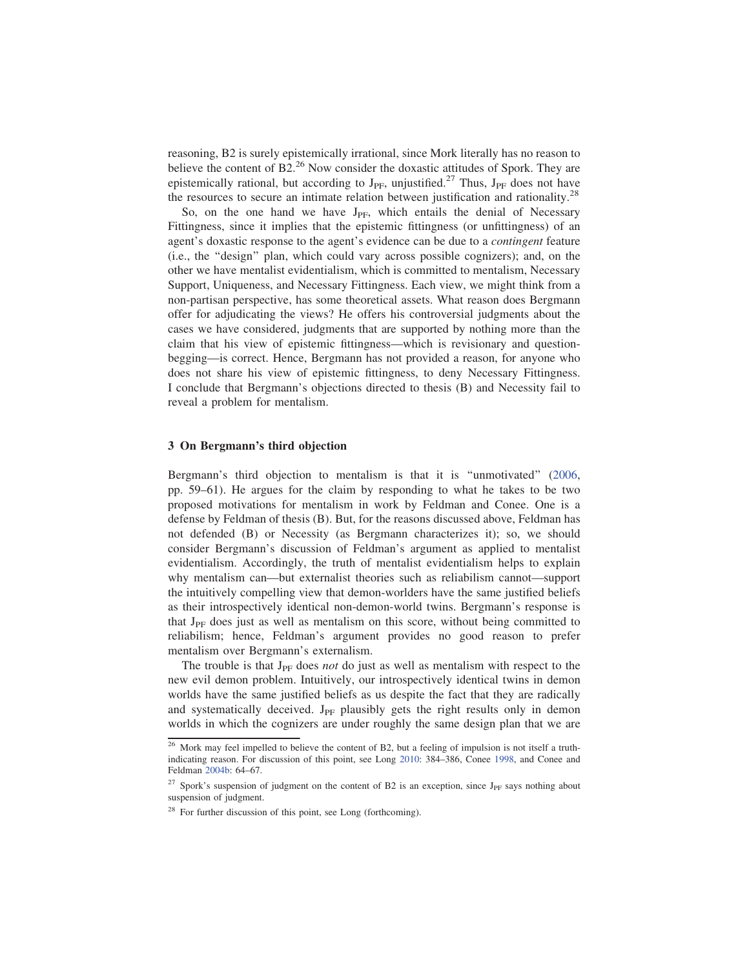reasoning, B2 is surely epistemically irrational, since Mork literally has no reason to believe the content of B2.<sup>26</sup> Now consider the doxastic attitudes of Spork. They are epistemically rational, but according to  $J_{PF}$ , unjustified.<sup>27</sup> Thus,  $J_{PF}$  does not have the resources to secure an intimate relation between justification and rationality.<sup>28</sup>

So, on the one hand we have  $J_{PF}$ , which entails the denial of Necessary Fittingness, since it implies that the epistemic fittingness (or unfittingness) of an agent's doxastic response to the agent's evidence can be due to a contingent feature (i.e., the ''design'' plan, which could vary across possible cognizers); and, on the other we have mentalist evidentialism, which is committed to mentalism, Necessary Support, Uniqueness, and Necessary Fittingness. Each view, we might think from a non-partisan perspective, has some theoretical assets. What reason does Bergmann offer for adjudicating the views? He offers his controversial judgments about the cases we have considered, judgments that are supported by nothing more than the claim that his view of epistemic fittingness—which is revisionary and questionbegging—is correct. Hence, Bergmann has not provided a reason, for anyone who does not share his view of epistemic fittingness, to deny Necessary Fittingness. I conclude that Bergmann's objections directed to thesis (B) and Necessity fail to reveal a problem for mentalism.

## 3 On Bergmann's third objection

Bergmann's third objection to mentalism is that it is ''unmotivated'' (2006, pp. 59–61). He argues for the claim by responding to what he takes to be two proposed motivations for mentalism in work by Feldman and Conee. One is a defense by Feldman of thesis (B). But, for the reasons discussed above, Feldman has not defended (B) or Necessity (as Bergmann characterizes it); so, we should consider Bergmann's discussion of Feldman's argument as applied to mentalist evidentialism. Accordingly, the truth of mentalist evidentialism helps to explain why mentalism can—but externalist theories such as reliabilism cannot—support the intuitively compelling view that demon-worlders have the same justified beliefs as their introspectively identical non-demon-world twins. Bergmann's response is that  $J_{PF}$  does just as well as mentalism on this score, without being committed to reliabilism; hence, Feldman's argument provides no good reason to prefer mentalism over Bergmann's externalism.

The trouble is that  $J_{PF}$  does not do just as well as mentalism with respect to the new evil demon problem. Intuitively, our introspectively identical twins in demon worlds have the same justified beliefs as us despite the fact that they are radically and systematically deceived. J<sub>PF</sub> plausibly gets the right results only in demon worlds in which the cognizers are under roughly the same design plan that we are

 $26$  Mork may feel impelled to believe the content of B2, but a feeling of impulsion is not itself a truthindicating reason. For discussion of this point, see Long 2010: 384–386, Conee 1998, and Conee and Feldman 2004b: 64–67.

<sup>&</sup>lt;sup>27</sup> Spork's suspension of judgment on the content of B2 is an exception, since  $J_{PF}$  says nothing about suspension of judgment.

<sup>&</sup>lt;sup>28</sup> For further discussion of this point, see Long (forthcoming).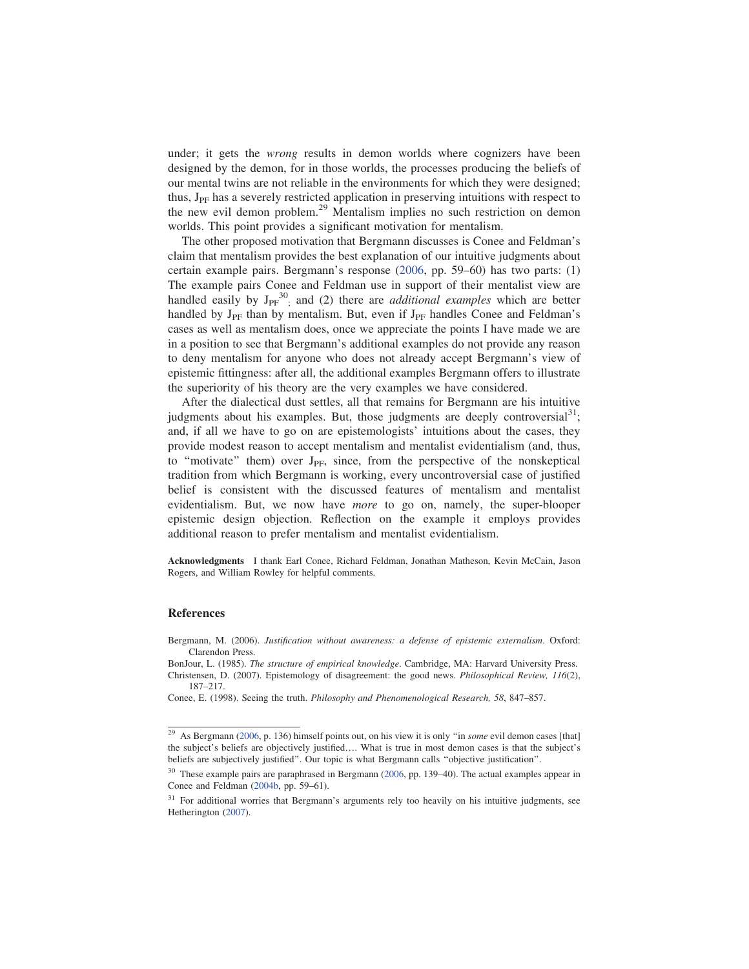under; it gets the wrong results in demon worlds where cognizers have been designed by the demon, for in those worlds, the processes producing the beliefs of our mental twins are not reliable in the environments for which they were designed; thus,  $J_{PF}$  has a severely restricted application in preserving intuitions with respect to the new evil demon problem.<sup>29</sup> Mentalism implies no such restriction on demon worlds. This point provides a significant motivation for mentalism.

The other proposed motivation that Bergmann discusses is Conee and Feldman's claim that mentalism provides the best explanation of our intuitive judgments about certain example pairs. Bergmann's response (2006, pp. 59–60) has two parts: (1) The example pairs Conee and Feldman use in support of their mentalist view are handled easily by  $J_{PF}^{30}$ ; and (2) there are *additional examples* which are better handled by  $J_{PF}$  than by mentalism. But, even if  $J_{PF}$  handles Conee and Feldman's cases as well as mentalism does, once we appreciate the points I have made we are in a position to see that Bergmann's additional examples do not provide any reason to deny mentalism for anyone who does not already accept Bergmann's view of epistemic fittingness: after all, the additional examples Bergmann offers to illustrate the superiority of his theory are the very examples we have considered.

After the dialectical dust settles, all that remains for Bergmann are his intuitive judgments about his examples. But, those judgments are deeply controversial<sup>31</sup>; and, if all we have to go on are epistemologists' intuitions about the cases, they provide modest reason to accept mentalism and mentalist evidentialism (and, thus, to "motivate" them) over  $J_{PF}$ , since, from the perspective of the nonskeptical tradition from which Bergmann is working, every uncontroversial case of justified belief is consistent with the discussed features of mentalism and mentalist evidentialism. But, we now have more to go on, namely, the super-blooper epistemic design objection. Reflection on the example it employs provides additional reason to prefer mentalism and mentalist evidentialism.

Acknowledgments I thank Earl Conee, Richard Feldman, Jonathan Matheson, Kevin McCain, Jason Rogers, and William Rowley for helpful comments.

#### References

Bergmann, M. (2006). Justification without awareness: a defense of epistemic externalism. Oxford: Clarendon Press.

BonJour, L. (1985). The structure of empirical knowledge. Cambridge, MA: Harvard University Press. Christensen, D. (2007). Epistemology of disagreement: the good news. Philosophical Review, 116(2), 187–217.

Conee, E. (1998). Seeing the truth. Philosophy and Phenomenological Research, 58, 847–857.

<sup>&</sup>lt;sup>29</sup> As Bergmann (2006, p. 136) himself points out, on his view it is only "in *some* evil demon cases [that] the subject's beliefs are objectively justified…. What is true in most demon cases is that the subject's beliefs are subjectively justified''. Our topic is what Bergmann calls ''objective justification''.

<sup>&</sup>lt;sup>30</sup> These example pairs are paraphrased in Bergmann (2006, pp. 139–40). The actual examples appear in Conee and Feldman (2004b, pp. 59–61).

<sup>&</sup>lt;sup>31</sup> For additional worries that Bergmann's arguments rely too heavily on his intuitive judgments, see Hetherington (2007).